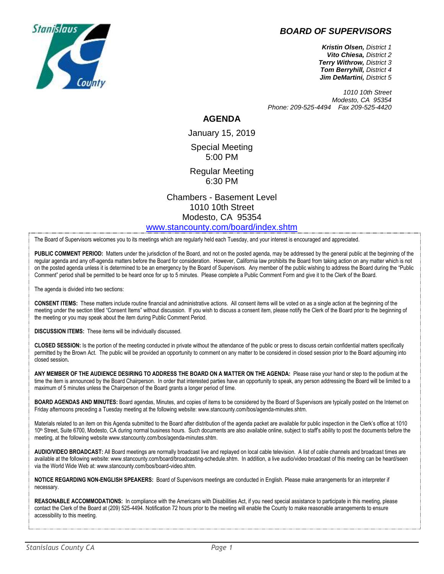## *BOARD OF SUPERVISORS*



*1010 10th Street Modesto, CA 95354 Phone: 209-525-4494 Fax 209-525-4420*

## **AGENDA**

January 15, 2019 Special Meeting 5:00 PM

Regular Meeting 6:30 PM

Chambers - Basement Level 1010 10th Street Modesto, CA 95354 [www.stancounty.com/board/index.shtm](http://www.stancounty.com/board/index.shtm)

The Board of Supervisors welcomes you to its meetings which are regularly held each Tuesday, and your interest is encouraged and appreciated.

**PUBLIC COMMENT PERIOD:** Matters under the jurisdiction of the Board, and not on the posted agenda, may be addressed by the general public at the beginning of the regular agenda and any off-agenda matters before the Board for consideration. However, California law prohibits the Board from taking action on any matter which is not on the posted agenda unless it is determined to be an emergency by the Board of Supervisors. Any member of the public wishing to address the Board during the "Public Comment" period shall be permitted to be heard once for up to 5 minutes. Please complete a Public Comment Form and give it to the Clerk of the Board.

The agenda is divided into two sections:

**CONSENT ITEMS:** These matters include routine financial and administrative actions. All consent items will be voted on as a single action at the beginning of the meeting under the section titled "Consent Items" without discussion. If you wish to discuss a consent item, please notify the Clerk of the Board prior to the beginning of the meeting or you may speak about the item during Public Comment Period.

**DISCUSSION ITEMS:** These items will be individually discussed.

**CLOSED SESSION:** Is the portion of the meeting conducted in private without the attendance of the public or press to discuss certain confidential matters specifically permitted by the Brown Act. The public will be provided an opportunity to comment on any matter to be considered in closed session prior to the Board adjourning into closed session**.**

**ANY MEMBER OF THE AUDIENCE DESIRING TO ADDRESS THE BOARD ON A MATTER ON THE AGENDA:** Please raise your hand or step to the podium at the time the item is announced by the Board Chairperson. In order that interested parties have an opportunity to speak, any person addressing the Board will be limited to a maximum of 5 minutes unless the Chairperson of the Board grants a longer period of time.

**BOARD AGENDAS AND MINUTES:** Board agendas, Minutes, and copies of items to be considered by the Board of Supervisors are typically posted on the Internet on Friday afternoons preceding a Tuesday meeting at the following website: www.stancounty.com/bos/agenda-minutes.shtm.

Materials related to an item on this Agenda submitted to the Board after distribution of the agenda packet are available for public inspection in the Clerk's office at 1010 10<sup>th</sup> Street, Suite 6700, Modesto, CA during normal business hours. Such documents are also available online, subject to staff's ability to post the documents before the meeting, at the following website www.stancounty.com/bos/agenda-minutes.shtm.

**AUDIO/VIDEO BROADCAST:** All Board meetings are normally broadcast live and replayed on local cable television. A list of cable channels and broadcast times are available at the following website: www.stancounty.com/board/broadcasting-schedule.shtm. In addition, a live audio/video broadcast of this meeting can be heard/seen via the World Wide Web at: www.stancounty.com/bos/board-video.shtm.

**NOTICE REGARDING NON-ENGLISH SPEAKERS:** Board of Supervisors meetings are conducted in English. Please make arrangements for an interpreter if necessary.

REASONABLE ACCOMMODATIONS: In compliance with the Americans with Disabilities Act, if you need special assistance to participate in this meeting, please contact the Clerk of the Board at (209) 525-4494. Notification 72 hours prior to the meeting will enable the County to make reasonable arrangements to ensure accessibility to this meeting.

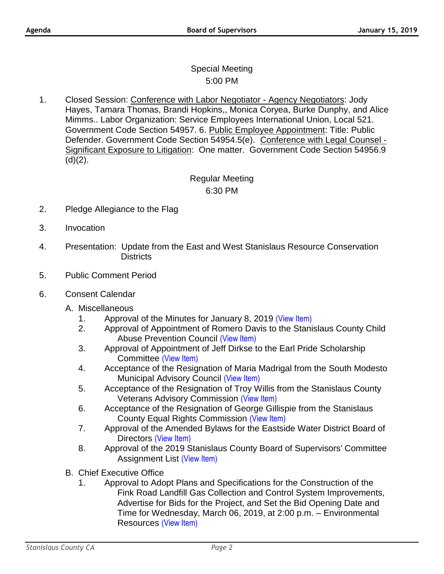## Special Meeting 5:00 PM

1. Closed Session: Conference with Labor Negotiator - Agency Negotiators: Jody Hayes, Tamara Thomas, Brandi Hopkins,, Monica Coryea, Burke Dunphy, and Alice Mimms.. Labor Organization: Service Employees International Union, Local 521. Government Code Section 54957. 6. Public Employee Appointment: Title: Public Defender. Government Code Section 54954.5(e). Conference with Legal Counsel - Significant Exposure to Litigation: One matter. Government Code Section 54956.9  $(d)(2)$ .

## Regular Meeting 6:30 PM

- 2. Pledge Allegiance to the Flag
- 3. Invocation
- 4. Presentation: Update from the East and West Stanislaus Resource Conservation **Districts**
- 5. Public Comment Period
- 6. Consent Calendar
	- A. Miscellaneous
		- 1. Approval of the Minutes for January 8, 2019 [\(View Item\)](http://stancounty.com/bos/minutes/2019/min01-08-19.pdf)
		- 2. Approval of Appointment of Romero Davis to the Stanislaus County Child Abuse Prevention Council [\(View Item\)](http://stancounty.com/bos/agenda/2019/20190115/A02.pdf)
		- 3. Approval of Appointment of Jeff Dirkse to the Earl Pride Scholarship Committee [\(View Item\)](http://stancounty.com/bos/agenda/2019/20190115/A03.pdf)
		- 4. Acceptance of the Resignation of Maria Madrigal from the South Modesto Municipal Advisory Council [\(View Item\)](http://stancounty.com/bos/agenda/2019/20190115/A04.pdf)
		- 5. Acceptance of the Resignation of Troy Willis from the Stanislaus County Veterans Advisory Commission [\(View Item\)](http://stancounty.com/bos/agenda/2019/20190115/A05.pdf)
		- 6. Acceptance of the Resignation of George Gillispie from the Stanislaus County Equal Rights Commission [\(View Item\)](http://stancounty.com/bos/agenda/2019/20190115/A06.pdf)
		- 7. Approval of the Amended Bylaws for the Eastside Water District Board of Directors [\(View Item\)](http://stancounty.com/bos/agenda/2019/20190115/A07.pdf)
		- 8. Approval of the 2019 Stanislaus County Board of Supervisors' Committee Assignment List [\(View Item\)](http://stancounty.com/bos/agenda/2019/20190115/A08.pdf)
	- B. Chief Executive Office
		- 1. Approval to Adopt Plans and Specifications for the Construction of the Fink Road Landfill Gas Collection and Control System Improvements, Advertise for Bids for the Project, and Set the Bid Opening Date and Time for Wednesday, March 06, 2019, at 2:00 p.m. – Environmental Resources [\(View Item\)](http://stancounty.com/bos/agenda/2019/20190115/B01.pdf)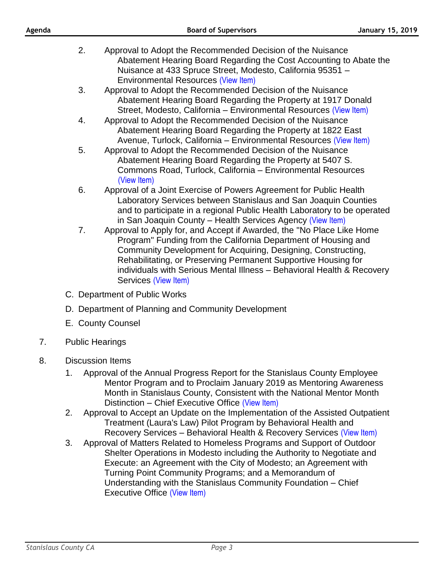| Agenda |                                                                                                                                                                                                                                                                                                               | <b>Board of Supervisors</b>                                                                                                                                                                                                                                                                                                                                                  | <b>January 15, 2019</b> |
|--------|---------------------------------------------------------------------------------------------------------------------------------------------------------------------------------------------------------------------------------------------------------------------------------------------------------------|------------------------------------------------------------------------------------------------------------------------------------------------------------------------------------------------------------------------------------------------------------------------------------------------------------------------------------------------------------------------------|-------------------------|
|        | 2.                                                                                                                                                                                                                                                                                                            | Approval to Adopt the Recommended Decision of the Nuisance<br>Abatement Hearing Board Regarding the Cost Accounting to Abate the<br>Nuisance at 433 Spruce Street, Modesto, California 95351 -<br><b>Environmental Resources (View Item)</b>                                                                                                                                 |                         |
|        | 3.                                                                                                                                                                                                                                                                                                            | Approval to Adopt the Recommended Decision of the Nuisance<br>Abatement Hearing Board Regarding the Property at 1917 Donald<br>Street, Modesto, California - Environmental Resources (View Item)                                                                                                                                                                             |                         |
|        | 4.                                                                                                                                                                                                                                                                                                            | Approval to Adopt the Recommended Decision of the Nuisance<br>Abatement Hearing Board Regarding the Property at 1822 East<br>Avenue, Turlock, California - Environmental Resources (View Item)                                                                                                                                                                               |                         |
|        | 5.                                                                                                                                                                                                                                                                                                            | Approval to Adopt the Recommended Decision of the Nuisance<br>Abatement Hearing Board Regarding the Property at 5407 S.<br>Commons Road, Turlock, California - Environmental Resources<br>(View Item)                                                                                                                                                                        |                         |
|        | 6.                                                                                                                                                                                                                                                                                                            | Approval of a Joint Exercise of Powers Agreement for Public Health<br>Laboratory Services between Stanislaus and San Joaquin Counties<br>and to participate in a regional Public Health Laboratory to be operated<br>in San Joaquin County - Health Services Agency (View Item)                                                                                              |                         |
|        | 7.                                                                                                                                                                                                                                                                                                            | Approval to Apply for, and Accept if Awarded, the "No Place Like Home<br>Program" Funding from the California Department of Housing and<br>Community Development for Acquiring, Designing, Constructing,<br>Rehabilitating, or Preserving Permanent Supportive Housing for<br>individuals with Serious Mental Illness - Behavioral Health & Recovery<br>Services (View Item) |                         |
|        | C. Department of Public Works                                                                                                                                                                                                                                                                                 |                                                                                                                                                                                                                                                                                                                                                                              |                         |
|        | D. Department of Planning and Community Development                                                                                                                                                                                                                                                           |                                                                                                                                                                                                                                                                                                                                                                              |                         |
|        | E. County Counsel                                                                                                                                                                                                                                                                                             |                                                                                                                                                                                                                                                                                                                                                                              |                         |
| 7.     |                                                                                                                                                                                                                                                                                                               | <b>Public Hearings</b>                                                                                                                                                                                                                                                                                                                                                       |                         |
| 8.     | <b>Discussion Items</b><br>Approval of the Annual Progress Report for the Stanislaus County Employee<br>1.<br>Mentor Program and to Proclaim January 2019 as Mentoring Awareness<br>Month in Stanislaus County, Consistent with the National Mentor Month<br>Distinction - Chief Executive Office (View Item) |                                                                                                                                                                                                                                                                                                                                                                              |                         |
|        |                                                                                                                                                                                                                                                                                                               | Approval to Accept an Update on the Implementation of the Assisted Outpatient                                                                                                                                                                                                                                                                                                |                         |

- $\,$  are on the Implementation of the Assisted ( Treatment (Laura's Law) Pilot Program by Behavioral Health and Recovery Services – Behavioral Health & Recovery Services [\(View Item\)](http://stancounty.com/bos/agenda/2019/20190115/DIS02.pdf)
- 3. Approval of Matters Related to Homeless Programs and Support of Outdoor Shelter Operations in Modesto including the Authority to Negotiate and Execute: an Agreement with the City of Modesto; an Agreement with Turning Point Community Programs; and a Memorandum of Understanding with the Stanislaus Community Foundation – Chief Executive Office [\(View Item\)](http://stancounty.com/bos/agenda/2019/20190115/DIS03.pdf)